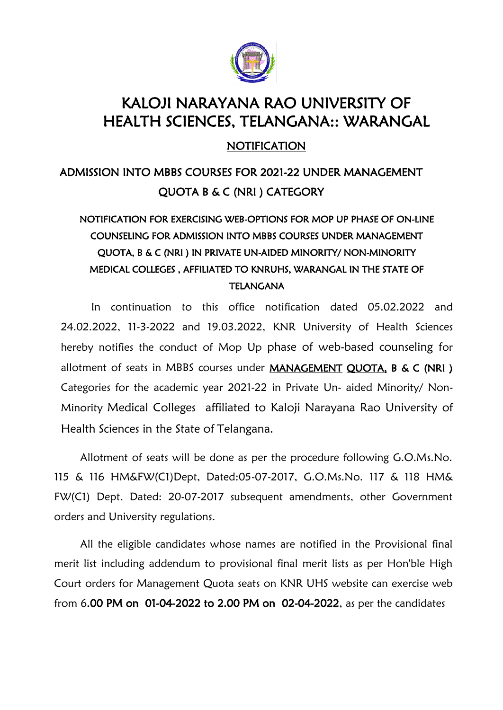

# KALOJI NARAYANA RAO UNIVERSITY OF HEALTH SCIENCES, TELANGANA:: WARANGAL

NOTIFICATION

# ADMISSION INTO MBBS COURSES FOR 2021-22 UNDER MANAGEMENT QUOTA B & C (NRI ) CATEGORY

# NOTIFICATION FOR EXERCISING WEB-OPTIONS FOR MOP UP PHASE OF ON-LINE COUNSELING FOR ADMISSION INTO MBBS COURSES UNDER MANAGEMENT QUOTA, B & C (NRI ) IN PRIVATE UN-AIDED MINORITY/ NON-MINORITY MEDICAL COLLEGES , AFFILIATED TO KNRUHS, WARANGAL IN THE STATE OF TELANGANA

In continuation to this office notification dated 05.02.2022 and 24.02.2022, 11-3-2022 and 19.03.2022, KNR University of Health Sciences hereby notifies the conduct of Mop Up phase of web-based counseling for allotment of seats in MBBS courses under MANAGEMENT QUOTA, B & C (NRI ) Categories for the academic year 2021-22 in Private Un- aided Minority/ Non-Minority Medical Colleges affiliated to Kaloji Narayana Rao University of Health Sciences in the State of Telangana.

Allotment of seats will be done as per the procedure following G.O.Ms.No. 115 & 116 HM&FW(C1)Dept, Dated:05-07-2017, G.O.Ms.No. 117 & 118 HM& FW(C1) Dept. Dated: 20-07-2017 subsequent amendments, other Government orders and University regulations.

All the eligible candidates whose names are notified in the Provisional final merit list including addendum to provisional final merit lists as per Hon'ble High Court orders for Management Quota seats on KNR UHS website can exercise web from 6.00 PM on 01-04-2022 to 2.00 PM on 02-04-2022, as per the candidates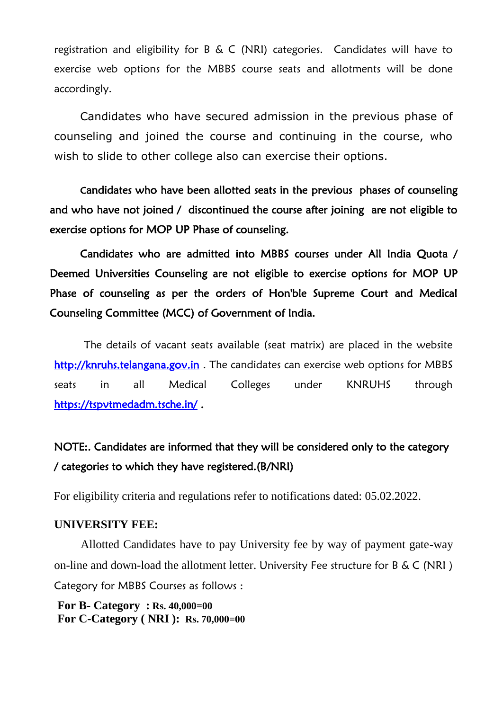registration and eligibility for B & C (NRI) categories. Candidates will have to exercise web options for the MBBS course seats and allotments will be done accordingly.

Candidates who have secured admission in the previous phase of counseling and joined the course and continuing in the course, who wish to slide to other college also can exercise their options.

 Candidates who have been allotted seats in the previous phases of counseling and who have not joined / discontinued the course after joining are not eligible to exercise options for MOP UP Phase of counseling.

 Candidates who are admitted into MBBS courses under All India Quota / Deemed Universities Counseling are not eligible to exercise options for MOP UP Phase of counseling as per the orders of Hon'ble Supreme Court and Medical Counseling Committee (MCC) of Government of India.

The details of vacant seats available (seat matrix) are placed in the website http://knruhs.telangana.gov.in. The candidates can exercise web options for MBBS seats in all Medical Colleges under KNRUHS through [https://tspvtmedadm.tsche.in/ .](https://tspvtmedadm.tsche.in/)

# NOTE:. Candidates are informed that they will be considered only to the category / categories to which they have registered.(B/NRI)

For eligibility criteria and regulations refer to notifications dated: 05.02.2022.

#### **UNIVERSITY FEE:**

Allotted Candidates have to pay University fee by way of payment gate-way on-line and down-load the allotment letter. University Fee structure for B & C (NRI ) Category for MBBS Courses as follows :

**For B- Category : Rs. 40,000=00 For C-Category ( NRI ): Rs. 70,000=00**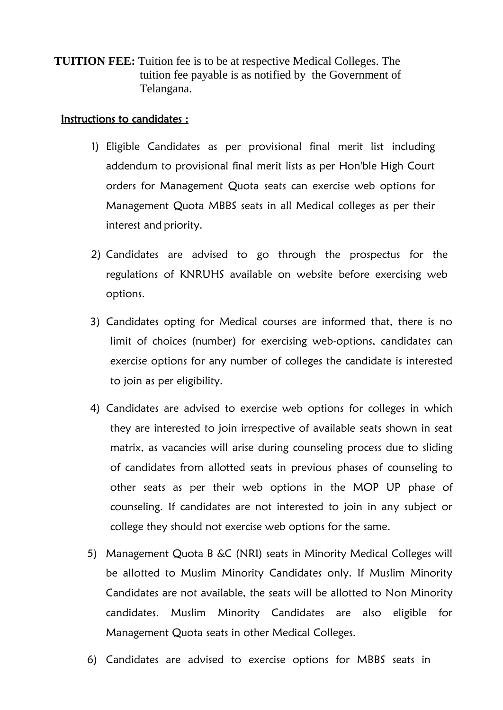**TUITION FEE:** Tuition fee is to be at respective Medical Colleges. The tuition fee payable is as notified by the Government of Telangana.

### Instructions to candidates :

- 1) Eligible Candidates as per provisional final merit list including addendum to provisional final merit lists as per Hon'ble High Court orders for Management Quota seats can exercise web options for Management Quota MBBS seats in all Medical colleges as per their interest and priority.
- 2) Candidates are advised to go through the prospectus for the regulations of KNRUHS available on website before exercising web options.
- 3) Candidates opting for Medical courses are informed that, there is no limit of choices (number) for exercising web-options, candidates can exercise options for any number of colleges the candidate is interested to join as per eligibility.
- 4) Candidates are advised to exercise web options for colleges in which they are interested to join irrespective of available seats shown in seat matrix, as vacancies will arise during counseling process due to sliding of candidates from allotted seats in previous phases of counseling to other seats as per their web options in the MOP UP phase of counseling. If candidates are not interested to join in any subject or college they should not exercise web options for the same.
- 5) Management Quota B &C (NRI) seats in Minority Medical Colleges will be allotted to Muslim Minority Candidates only. If Muslim Minority Candidates are not available, the seats will be allotted to Non Minority candidates. Muslim Minority Candidates are also eligible for Management Quota seats in other Medical Colleges.
- 6) Candidates are advised to exercise options for MBBS seats in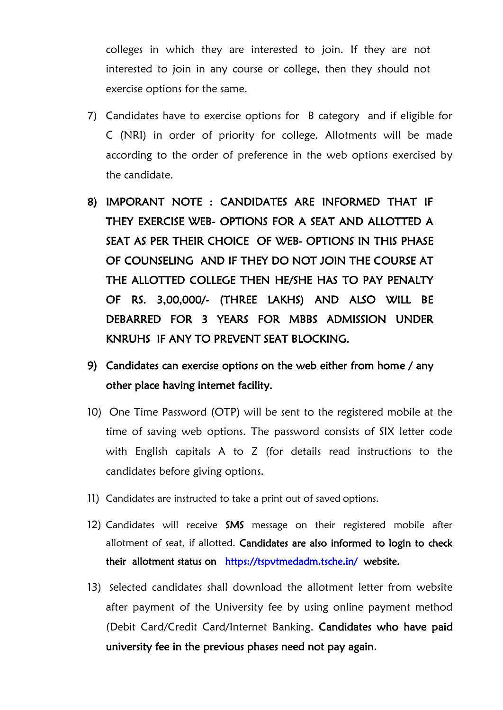colleges in which they are interested to join. If they are not interested to join in any course or college, then they should not exercise options for the same.

- 7) Candidates have to exercise options for B category and if eligible for C (NRI) in order of priority for college. Allotments will be made according to the order of preference in the web options exercised by the candidate.
- 8) IMPORANT NOTE : CANDIDATES ARE INFORMED THAT IF THEY EXERCISE WEB- OPTIONS FOR A SEAT AND ALLOTTED A SEAT AS PER THEIR CHOICE OF WEB- OPTIONS IN THIS PHASE OF COUNSELING AND IF THEY DO NOT JOIN THE COURSE AT THE ALLOTTED COLLEGE THEN HE/SHE HAS TO PAY PENALTY OF RS. 3,00,000/- (THREE LAKHS) AND ALSO WILL BE DEBARRED FOR 3 YEARS FOR MBBS ADMISSION UNDER KNRUHS IF ANY TO PREVENT SEAT BLOCKING.
- 9) Candidates can exercise options on the web either from home / any other place having internet facility.
- 10) One Time Password (OTP) will be sent to the registered mobile at the time of saving web options. The password consists of SIX letter code with English capitals A to Z (for details read instructions to the candidates before giving options.
- 11) Candidates are instructed to take a print out of saved options.
- 12) Candidates will receive SMS message on their registered mobile after allotment of seat, if allotted. Candidates are also informed to login to check their allotment status on <https://tspvtmedadm.tsche.in/>website.
- 13) Selected candidates shall download the allotment letter from website after payment of the University fee by using online payment method (Debit Card/Credit Card/Internet Banking. Candidates who have paid university fee in the previous phases need not pay again.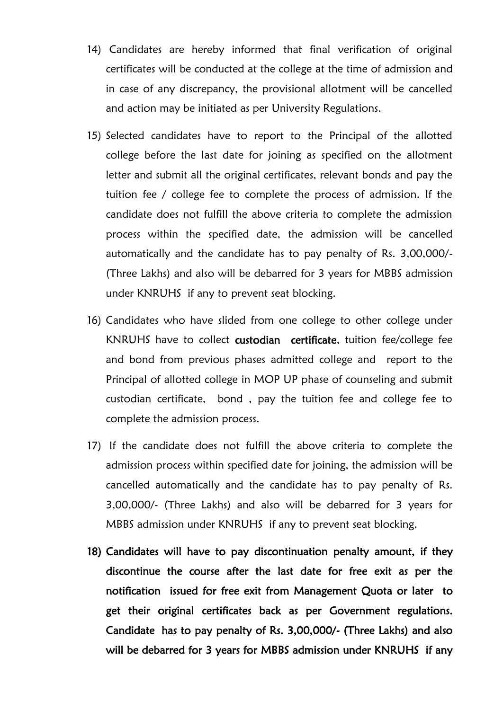- 14) Candidates are hereby informed that final verification of original certificates will be conducted at the college at the time of admission and in case of any discrepancy, the provisional allotment will be cancelled and action may be initiated as per University Regulations.
- 15) Selected candidates have to report to the Principal of the allotted college before the last date for joining as specified on the allotment letter and submit all the original certificates, relevant bonds and pay the tuition fee / college fee to complete the process of admission. If the candidate does not fulfill the above criteria to complete the admission process within the specified date, the admission will be cancelled automatically and the candidate has to pay penalty of Rs. 3,00,000/- (Three Lakhs) and also will be debarred for 3 years for MBBS admission under KNRUHS if any to prevent seat blocking.
- 16) Candidates who have slided from one college to other college under KNRUHS have to collect custodian certificate, tuition fee/college fee and bond from previous phases admitted college and report to the Principal of allotted college in MOP UP phase of counseling and submit custodian certificate, bond , pay the tuition fee and college fee to complete the admission process.
- 17) If the candidate does not fulfill the above criteria to complete the admission process within specified date for joining, the admission will be cancelled automatically and the candidate has to pay penalty of Rs. 3,00,000/- (Three Lakhs) and also will be debarred for 3 years for MBBS admission under KNRUHS if any to prevent seat blocking.
- 18) Candidates will have to pay discontinuation penalty amount, if they discontinue the course after the last date for free exit as per the notification issued for free exit from Management Quota or later to get their original certificates back as per Government regulations. Candidate has to pay penalty of Rs. 3,00,000/- (Three Lakhs) and also will be debarred for 3 years for MBBS admission under KNRUHS if any